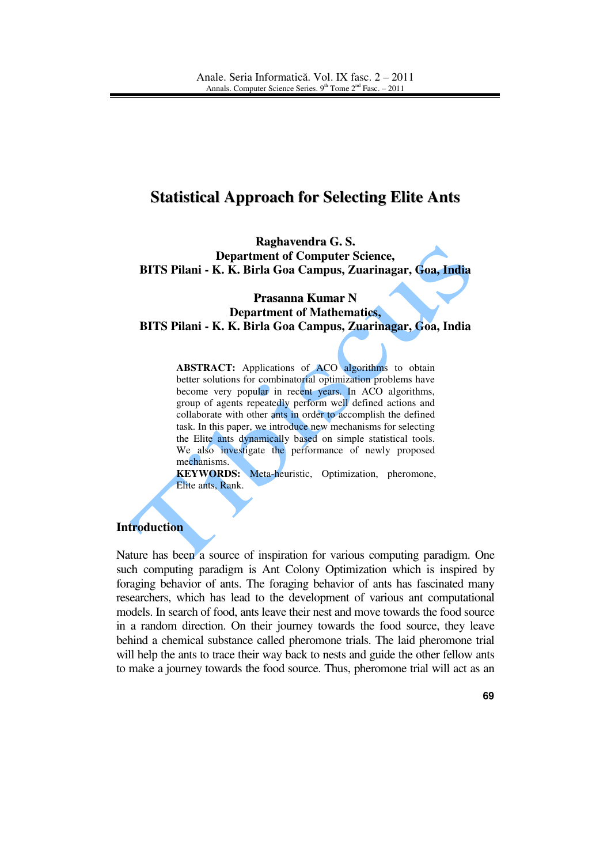# **Statistical Approach for Selecting Elite Ants**

**Raghavendra G. S. Department of Computer Science, BITS Pilani - K. K. Birla Goa Campus, Zuarinagar, Goa, India** 

**Prasanna Kumar N Department of Mathematics, BITS Pilani - K. K. Birla Goa Campus, Zuarinagar, Goa, India** 

> **ABSTRACT:** Applications of ACO algorithms to obtain better solutions for combinatorial optimization problems have become very popular in recent years. In ACO algorithms, group of agents repeatedly perform well defined actions and collaborate with other ants in order to accomplish the defined task. In this paper, we introduce new mechanisms for selecting the Elite ants dynamically based on simple statistical tools. We also investigate the performance of newly proposed mechanisms.

> **KEYWORDS:** Meta-heuristic, Optimization, pheromone, Elite ants, Rank.

## **Introduction**

Nature has been a source of inspiration for various computing paradigm. One such computing paradigm is Ant Colony Optimization which is inspired by foraging behavior of ants. The foraging behavior of ants has fascinated many researchers, which has lead to the development of various ant computational models. In search of food, ants leave their nest and move towards the food source in a random direction. On their journey towards the food source, they leave behind a chemical substance called pheromone trials. The laid pheromone trial will help the ants to trace their way back to nests and guide the other fellow ants to make a journey towards the food source. Thus, pheromone trial will act as an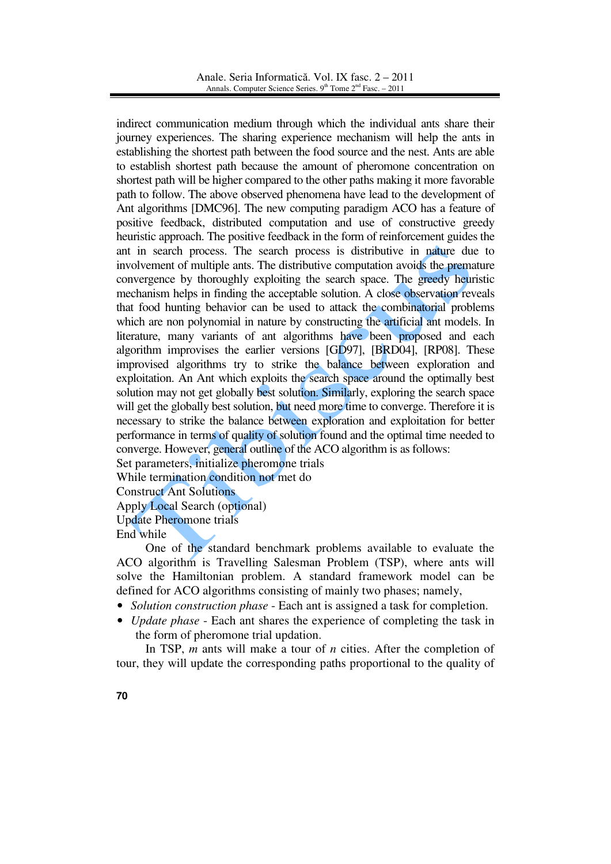indirect communication medium through which the individual ants share their journey experiences. The sharing experience mechanism will help the ants in establishing the shortest path between the food source and the nest. Ants are able to establish shortest path because the amount of pheromone concentration on shortest path will be higher compared to the other paths making it more favorable path to follow. The above observed phenomena have lead to the development of Ant algorithms [DMC96]. The new computing paradigm ACO has a feature of positive feedback, distributed computation and use of constructive greedy heuristic approach. The positive feedback in the form of reinforcement guides the ant in search process. The search process is distributive in nature due to involvement of multiple ants. The distributive computation avoids the premature convergence by thoroughly exploiting the search space. The greedy heuristic mechanism helps in finding the acceptable solution. A close observation reveals that food hunting behavior can be used to attack the combinatorial problems which are non polynomial in nature by constructing the artificial ant models. In literature, many variants of ant algorithms have been proposed and each algorithm improvises the earlier versions [GD97], [BRD04], [RP08]. These improvised algorithms try to strike the balance between exploration and exploitation. An Ant which exploits the search space around the optimally best solution may not get globally best solution. Similarly, exploring the search space will get the globally best solution, but need more time to converge. Therefore it is necessary to strike the balance between exploration and exploitation for better performance in terms of quality of solution found and the optimal time needed to converge. However, general outline of the ACO algorithm is as follows:

Set parameters, initialize pheromone trials

While termination condition not met do

Construct Ant Solutions

Apply Local Search (optional)

Update Pheromone trials

End while

 One of the standard benchmark problems available to evaluate the ACO algorithm is Travelling Salesman Problem (TSP), where ants will solve the Hamiltonian problem. A standard framework model can be defined for ACO algorithms consisting of mainly two phases; namely,

- *Solution construction phase* Each ant is assigned a task for completion.
- *Update phase* Each ant shares the experience of completing the task in the form of pheromone trial updation.

 In TSP, *m* ants will make a tour of *n* cities. After the completion of tour, they will update the corresponding paths proportional to the quality of

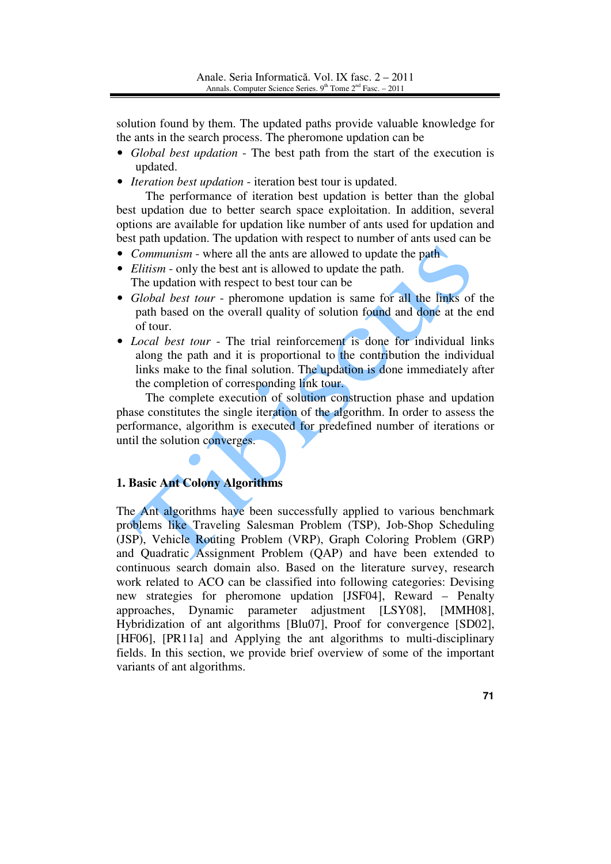solution found by them. The updated paths provide valuable knowledge for the ants in the search process. The pheromone updation can be

- *Global best updation* The best path from the start of the execution is updated.
- *Iteration best updation* iteration best tour is updated.

 The performance of iteration best updation is better than the global best updation due to better search space exploitation. In addition, several options are available for updation like number of ants used for updation and best path updation. The updation with respect to number of ants used can be

- *Communism* where all the ants are allowed to update the path
- *Elitism* only the best ant is allowed to update the path. The updation with respect to best tour can be
- *Global best tour* pheromone updation is same for all the links of the path based on the overall quality of solution found and done at the end of tour.
- *Local best tour* The trial reinforcement is done for individual links along the path and it is proportional to the contribution the individual links make to the final solution. The updation is done immediately after the completion of corresponding link tour.

 The complete execution of solution construction phase and updation phase constitutes the single iteration of the algorithm. In order to assess the performance, algorithm is executed for predefined number of iterations or until the solution converges.

# **1. Basic Ant Colony Algorithms**

The Ant algorithms have been successfully applied to various benchmark problems like Traveling Salesman Problem (TSP), Job-Shop Scheduling (JSP), Vehicle Routing Problem (VRP), Graph Coloring Problem (GRP) and Quadratic Assignment Problem (QAP) and have been extended to continuous search domain also. Based on the literature survey, research work related to ACO can be classified into following categories: Devising new strategies for pheromone updation [JSF04], Reward – Penalty approaches, Dynamic parameter adjustment [LSY08], [MMH08], Hybridization of ant algorithms [Blu07], Proof for convergence [SD02], [HF06], [PR11a] and Applying the ant algorithms to multi-disciplinary fields. In this section, we provide brief overview of some of the important variants of ant algorithms.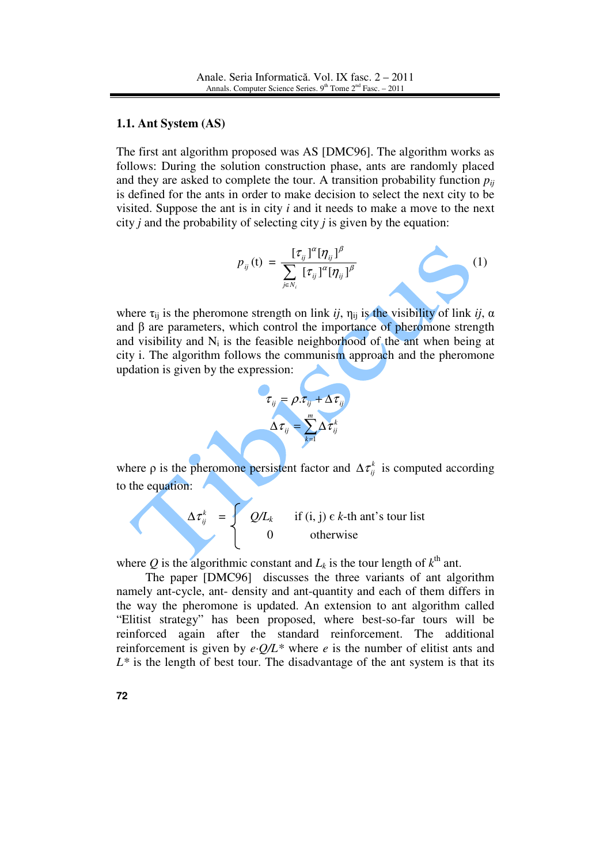#### **1.1. Ant System (AS)**

The first ant algorithm proposed was AS [DMC96]. The algorithm works as follows: During the solution construction phase, ants are randomly placed and they are asked to complete the tour. A transition probability function  $p_{ii}$ is defined for the ants in order to make decision to select the next city to be visited. Suppose the ant is in city *i* and it needs to make a move to the next city *j* and the probability of selecting city *j* is given by the equation:

$$
p_{ij}(\mathbf{t}) = \frac{[\tau_{ij}]^{\alpha} [\eta_{ij}]^{\beta}}{\sum_{j \in N_i} [\tau_{ij}]^{\alpha} [\eta_{ij}]^{\beta}}
$$
(1)

where  $\tau_{ij}$  is the pheromone strength on link *ij*,  $\eta_{ij}$  is the visibility of link *ij*,  $\alpha$ and  $\beta$  are parameters, which control the importance of pheromone strength and visibility and  $N_i$  is the feasible neighborhood of the ant when being at city i. The algorithm follows the communism approach and the pheromone updation is given by the expression:



where  $\rho$  is the pheromone persistent factor and  $\Delta \tau_{ij}^k$  is computed according to the equation:

$$
\Delta \tau_{ij}^k = \begin{cases}\nQ/L_k & \text{if (i, j) } \in k\text{-th ant's tour list} \\
0 & \text{otherwise}\n\end{cases}
$$

where Q is the algorithmic constant and  $L_k$  is the tour length of  $k^{\text{th}}$  ant.

 The paper [DMC96] discusses the three variants of ant algorithm namely ant-cycle, ant- density and ant-quantity and each of them differs in the way the pheromone is updated. An extension to ant algorithm called "Elitist strategy" has been proposed, where best-so-far tours will be reinforced again after the standard reinforcement. The additional reinforcement is given by  $e \cdot Q/L^*$  where *e* is the number of elitist ants and  $L^*$  is the length of best tour. The disadvantage of the ant system is that its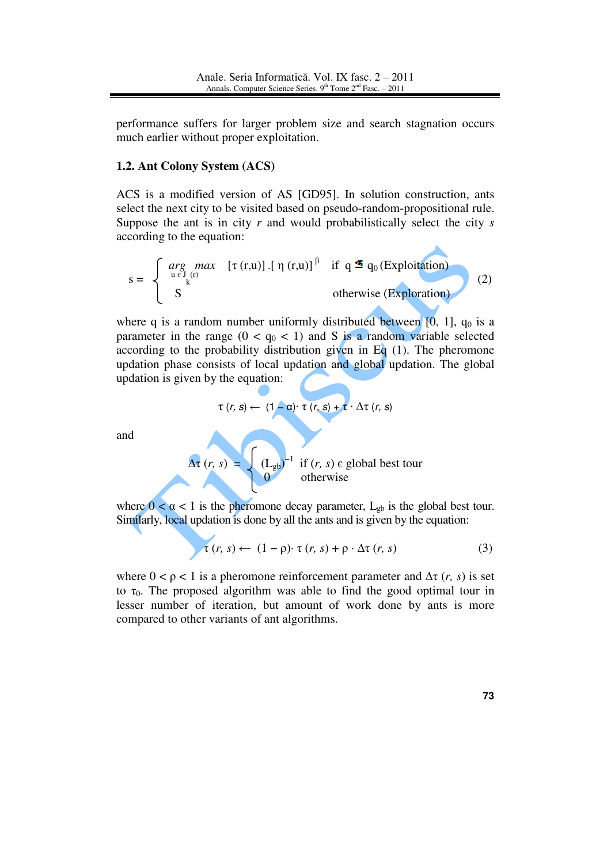performance suffers for larger problem size and search stagnation occurs much earlier without proper exploitation.

## **1.2. Ant Colony System (ACS)**

ACS is a modified version of AS [GD95]. In solution construction, ants select the next city to be visited based on pseudo-random-propositional rule. Suppose the ant is in city *r* and would probabilistically select the city *s* according to the equation:

$$
s = \begin{cases} \n\arg_{u \in J_{(r)}} \max \limits_{k} [\tau(r, u)] .[\eta(r, u)]^{\beta} & \text{if } q \leq q_0 \text{ (Explotation)}\\ \nS & \text{otherwise (Exploration)} \n\end{cases} \tag{2}
$$

where q is a random number uniformly distributed between  $[0, 1]$ ,  $q_0$  is a parameter in the range  $(0 < q_0 < 1)$  and S is a random variable selected according to the probability distribution given in Eq  $(1)$ . The pheromone updation phase consists of local updation and global updation. The global updation is given by the equation:

$$
\tau(r, s) \leftarrow (1 - \alpha) \tau(r, s) + \tau \cdot \Delta \tau(r, s)
$$

and

 $\Delta \tau (r, s) = \int (L_{gb})$  $^{-1}$  if  $(r, s)$   $\epsilon$  global best tour 0 otherwise

where  $0 < \alpha < 1$  is the pheromone decay parameter,  $L_{gb}$  is the global best tour. Similarly, local updation is done by all the ants and is given by the equation:

$$
\tau(r, s) \leftarrow (1 - \rho) \cdot \tau(r, s) + \rho \cdot \Delta \tau(r, s) \tag{3}
$$

where  $0 < \rho < 1$  is a pheromone reinforcement parameter and  $\Delta \tau$  (*r*, *s*) is set to  $\tau_0$ . The proposed algorithm was able to find the good optimal tour in lesser number of iteration, but amount of work done by ants is more compared to other variants of ant algorithms.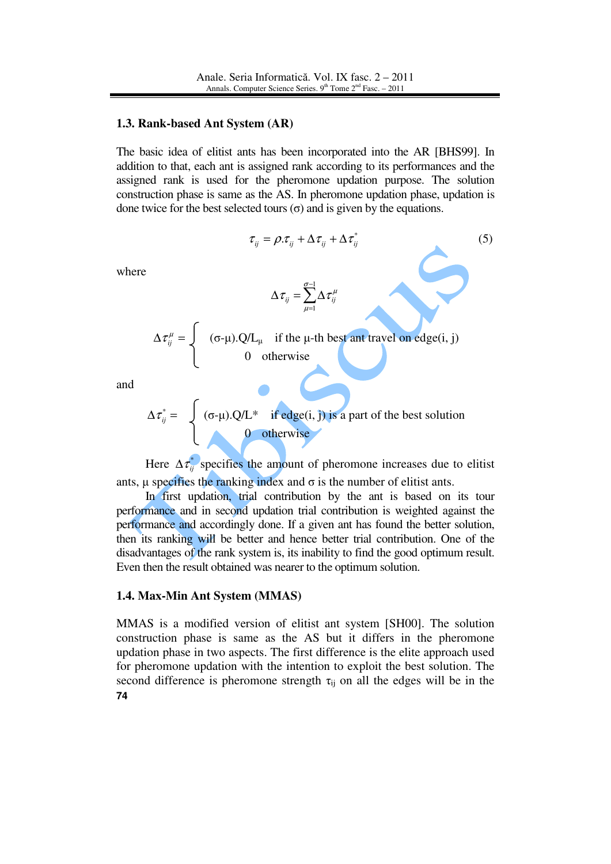#### **1.3. Rank-based Ant System (AR)**

The basic idea of elitist ants has been incorporated into the AR [BHS99]. In addition to that, each ant is assigned rank according to its performances and the assigned rank is used for the pheromone updation purpose. The solution construction phase is same as the AS. In pheromone updation phase, updation is done twice for the best selected tours (σ) and is given by the equations.

$$
\tau_{ij} = \rho \cdot \tau_{ij} + \Delta \tau_{ij}^{*} + \Delta \tau_{ij}^{*}
$$
\n
$$
\Delta \tau_{ij} = \sum_{\mu=1}^{\sigma-1} \Delta \tau_{ij}^{\mu}
$$
\n
$$
\Delta \tau_{ij}^{\mu} = \begin{cases}\n(\sigma-\mu) \cdot Q/L_{\mu} & \text{if the } \mu-\text{th best ant travel on edge(i, j)} \\
0 & \text{otherwise}\n\end{cases}
$$
\n(5)

and

where

$$
\Delta \tau_{ij}^* = \begin{cases} (\sigma - \mu) . Q/L^* & \text{if edge}(i, j) \text{ is a part of the best solution} \\ 0 & \text{otherwise} \end{cases}
$$

Here  $\Delta \tau_{ij}^*$  specifies the amount of pheromone increases due to elitist ants,  $\mu$  specifies the ranking index and  $\sigma$  is the number of elitist ants.

In first updation, trial contribution by the ant is based on its tour performance and in second updation trial contribution is weighted against the performance and accordingly done. If a given ant has found the better solution, then its ranking will be better and hence better trial contribution. One of the disadvantages of the rank system is, its inability to find the good optimum result. Even then the result obtained was nearer to the optimum solution.

### **1.4. Max-Min Ant System (MMAS)**

**74** MMAS is a modified version of elitist ant system [SH00]. The solution construction phase is same as the AS but it differs in the pheromone updation phase in two aspects. The first difference is the elite approach used for pheromone updation with the intention to exploit the best solution. The second difference is pheromone strength  $\tau_{ij}$  on all the edges will be in the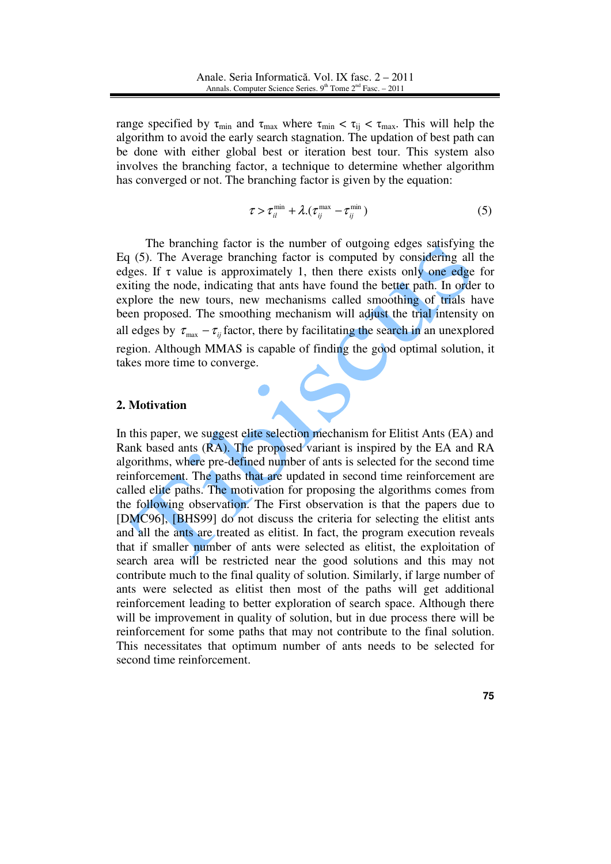range specified by  $\tau_{\min}$  and  $\tau_{\max}$  where  $\tau_{\min} < \tau_{ij} < \tau_{\max}$ . This will help the algorithm to avoid the early search stagnation. The updation of best path can be done with either global best or iteration best tour. This system also involves the branching factor, a technique to determine whether algorithm has converged or not. The branching factor is given by the equation:

$$
\tau > \tau_{il}^{\min} + \lambda \left( \tau_{ij}^{\max} - \tau_{ij}^{\min} \right) \tag{5}
$$

 The branching factor is the number of outgoing edges satisfying the Eq (5). The Average branching factor is computed by considering all the edges. If  $\tau$  value is approximately 1, then there exists only one edge for exiting the node, indicating that ants have found the better path. In order to explore the new tours, new mechanisms called smoothing of trials have been proposed. The smoothing mechanism will adjust the trial intensity on all edges by  $\tau_{\text{max}} - \tau_{ii}$  factor, there by facilitating the search in an unexplored region. Although MMAS is capable of finding the good optimal solution, it takes more time to converge.

## **2. Motivation**

In this paper, we suggest elite selection mechanism for Elitist Ants (EA) and Rank based ants (RA). The proposed variant is inspired by the EA and RA algorithms, where pre-defined number of ants is selected for the second time reinforcement. The paths that are updated in second time reinforcement are called elite paths. The motivation for proposing the algorithms comes from the following observation. The First observation is that the papers due to [DMC96], [BHS99] do not discuss the criteria for selecting the elitist ants and all the ants are treated as elitist. In fact, the program execution reveals that if smaller number of ants were selected as elitist, the exploitation of search area will be restricted near the good solutions and this may not contribute much to the final quality of solution. Similarly, if large number of ants were selected as elitist then most of the paths will get additional reinforcement leading to better exploration of search space. Although there will be improvement in quality of solution, but in due process there will be reinforcement for some paths that may not contribute to the final solution. This necessitates that optimum number of ants needs to be selected for second time reinforcement.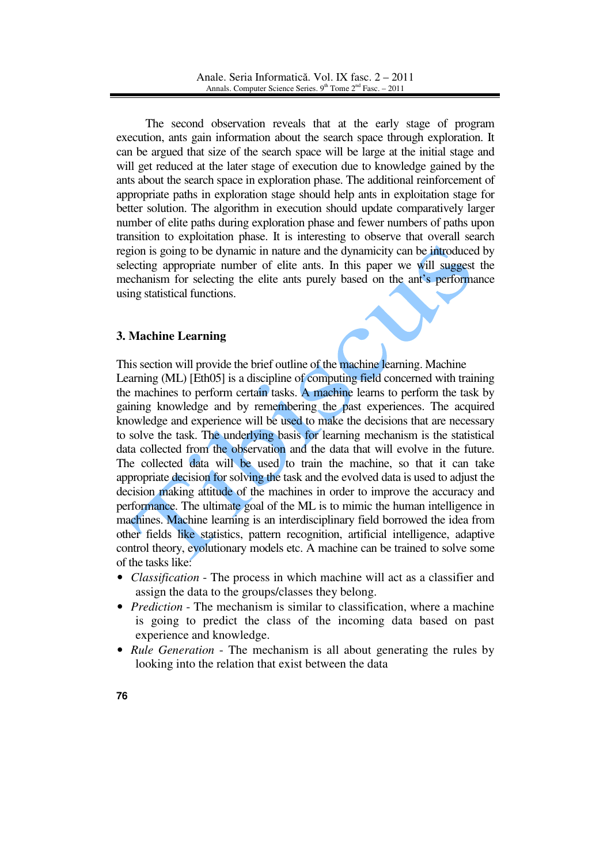The second observation reveals that at the early stage of program execution, ants gain information about the search space through exploration. It can be argued that size of the search space will be large at the initial stage and will get reduced at the later stage of execution due to knowledge gained by the ants about the search space in exploration phase. The additional reinforcement of appropriate paths in exploration stage should help ants in exploitation stage for better solution. The algorithm in execution should update comparatively larger number of elite paths during exploration phase and fewer numbers of paths upon transition to exploitation phase. It is interesting to observe that overall search region is going to be dynamic in nature and the dynamicity can be introduced by selecting appropriate number of elite ants. In this paper we will suggest the mechanism for selecting the elite ants purely based on the ant's performance using statistical functions.

# **3. Machine Learning**

This section will provide the brief outline of the machine learning. Machine Learning (ML) [Eth05] is a discipline of computing field concerned with training the machines to perform certain tasks. A machine learns to perform the task by gaining knowledge and by remembering the past experiences. The acquired knowledge and experience will be used to make the decisions that are necessary to solve the task. The underlying basis for learning mechanism is the statistical data collected from the observation and the data that will evolve in the future. The collected data will be used to train the machine, so that it can take appropriate decision for solving the task and the evolved data is used to adjust the decision making attitude of the machines in order to improve the accuracy and performance. The ultimate goal of the ML is to mimic the human intelligence in machines. Machine learning is an interdisciplinary field borrowed the idea from other fields like statistics, pattern recognition, artificial intelligence, adaptive control theory, evolutionary models etc. A machine can be trained to solve some of the tasks like:

- *Classification* The process in which machine will act as a classifier and assign the data to the groups/classes they belong.
- *Prediction* The mechanism is similar to classification, where a machine is going to predict the class of the incoming data based on past experience and knowledge.
- *Rule Generation* The mechanism is all about generating the rules by looking into the relation that exist between the data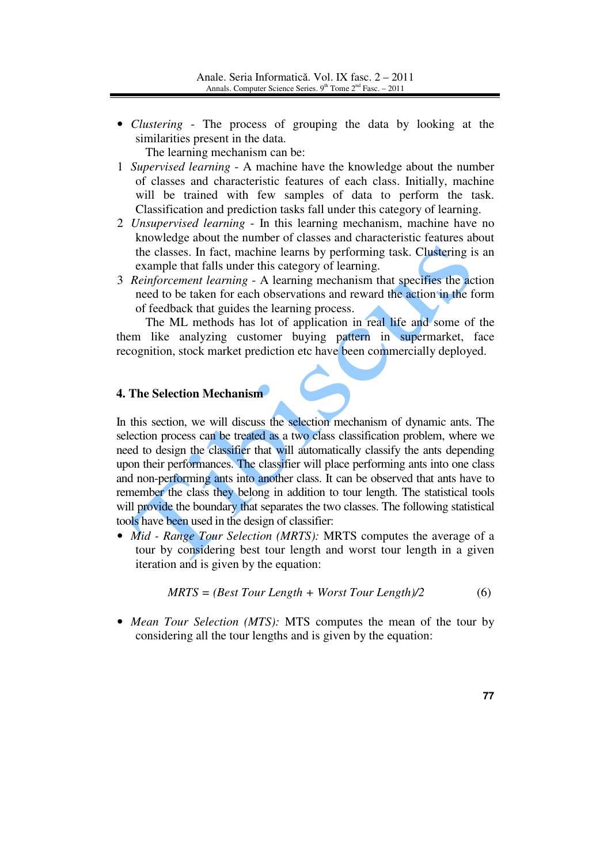• *Clustering* - The process of grouping the data by looking at the similarities present in the data.

The learning mechanism can be:

- 1 *Supervised learning* A machine have the knowledge about the number of classes and characteristic features of each class. Initially, machine will be trained with few samples of data to perform the task. Classification and prediction tasks fall under this category of learning.
- 2 *Unsupervised learning* In this learning mechanism, machine have no knowledge about the number of classes and characteristic features about the classes. In fact, machine learns by performing task. Clustering is an example that falls under this category of learning.
- 3 *Reinforcement learning* A learning mechanism that specifies the action need to be taken for each observations and reward the action in the form of feedback that guides the learning process.

 The ML methods has lot of application in real life and some of the them like analyzing customer buying pattern in supermarket, face recognition, stock market prediction etc have been commercially deployed.

# **4. The Selection Mechanism**

In this section, we will discuss the selection mechanism of dynamic ants. The selection process can be treated as a two class classification problem, where we need to design the classifier that will automatically classify the ants depending upon their performances. The classifier will place performing ants into one class and non-performing ants into another class. It can be observed that ants have to remember the class they belong in addition to tour length. The statistical tools will provide the boundary that separates the two classes. The following statistical tools have been used in the design of classifier:

• *Mid - Range Tour Selection (MRTS):* MRTS computes the average of a tour by considering best tour length and worst tour length in a given iteration and is given by the equation:

$$
MRTS = (Best Tour Length + Worst Tour Length)/2 \tag{6}
$$

• *Mean Tour Selection (MTS):* MTS computes the mean of the tour by considering all the tour lengths and is given by the equation: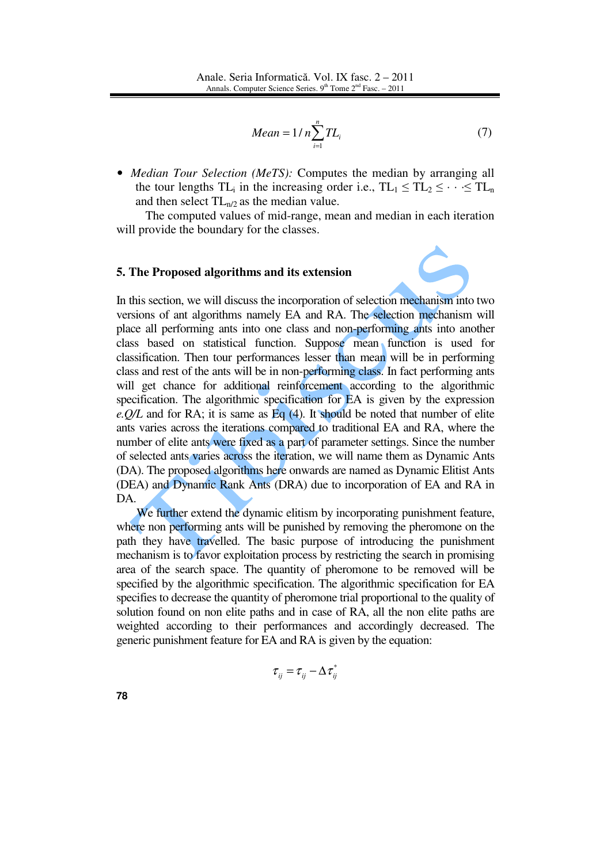$$
Mean = 1/n \sum_{i=1}^{n} TL_i
$$
 (7)

• *Median Tour Selection (MeTS):* Computes the median by arranging all the tour lengths  $TL_i$  in the increasing order i.e.,  $TL_1 \leq TL_2 \leq \cdots \leq TL_n$ and then select  $TL_{n/2}$  as the median value.

 The computed values of mid-range, mean and median in each iteration will provide the boundary for the classes.

### **5. The Proposed algorithms and its extension**

In this section, we will discuss the incorporation of selection mechanism into two versions of ant algorithms namely EA and RA. The selection mechanism will place all performing ants into one class and non-performing ants into another class based on statistical function. Suppose mean function is used for classification. Then tour performances lesser than mean will be in performing class and rest of the ants will be in non-performing class. In fact performing ants will get chance for additional reinforcement according to the algorithmic specification. The algorithmic specification for EA is given by the expression *e.Q/L* and for RA; it is same as Eq (4). It should be noted that number of elite ants varies across the iterations compared to traditional EA and RA, where the number of elite ants were fixed as a part of parameter settings. Since the number of selected ants varies across the iteration, we will name them as Dynamic Ants (DA). The proposed algorithms here onwards are named as Dynamic Elitist Ants (DEA) and Dynamic Rank Ants (DRA) due to incorporation of EA and RA in DA.

We further extend the dynamic elitism by incorporating punishment feature, where non performing ants will be punished by removing the pheromone on the path they have travelled. The basic purpose of introducing the punishment mechanism is to favor exploitation process by restricting the search in promising area of the search space. The quantity of pheromone to be removed will be specified by the algorithmic specification. The algorithmic specification for EA specifies to decrease the quantity of pheromone trial proportional to the quality of solution found on non elite paths and in case of RA, all the non elite paths are weighted according to their performances and accordingly decreased. The generic punishment feature for EA and RA is given by the equation:

$$
\tau_{ij} = \tau_{ij} - \Delta \tau_{ij}^*
$$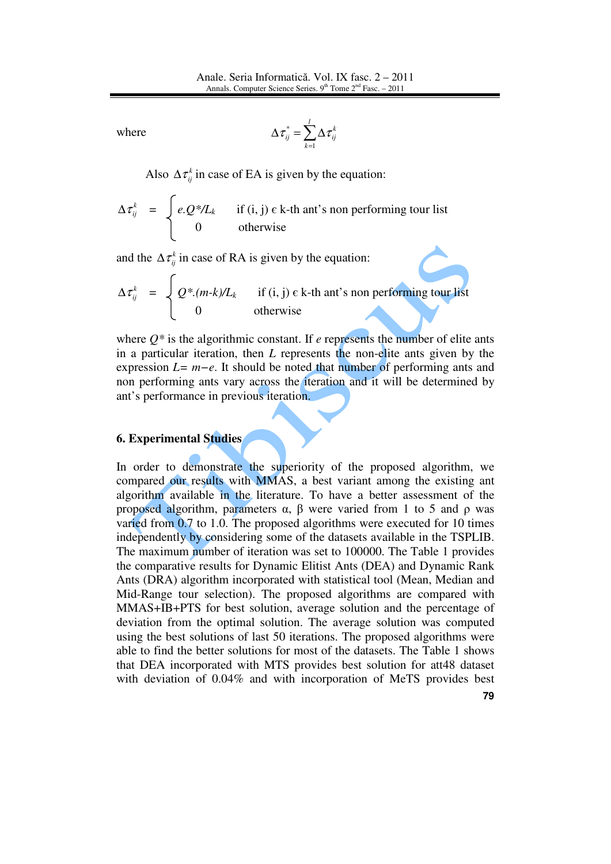where 
$$
\Delta \tau_{ij}^* = \sum_{k=1}^l \Delta \tau_{ij}^k
$$

Also  $\Delta \tau_{ij}^k$  in case of EA is given by the equation:

$$
\Delta \tau_{ij}^k = \begin{cases} e \cdot Q^* / L_k & \text{if (i, j) } \in k\text{-th ant's non performing tour list} \\ 0 & \text{otherwise} \end{cases}
$$

and the  $\Delta \tau_{ij}^k$  in case of RA is given by the equation:

$$
\Delta \tau_{ij}^{k} = \begin{cases} Q^{*}(m-k)/L_{k} & \text{if (i, j) c k-th ant's non performing tour list} \\ 0 & \text{otherwise} \end{cases}
$$

where  $Q^*$  is the algorithmic constant. If *e* represents the number of elite ants in a particular iteration, then *L* represents the non-elite ants given by the expression *L= m−e*. It should be noted that number of performing ants and non performing ants vary across the iteration and it will be determined by ant's performance in previous iteration.

## **6. Experimental Studies**

In order to demonstrate the superiority of the proposed algorithm, we compared our results with MMAS, a best variant among the existing ant algorithm available in the literature. To have a better assessment of the proposed algorithm, parameters α, β were varied from 1 to 5 and ρ was varied from 0.7 to 1.0. The proposed algorithms were executed for 10 times independently by considering some of the datasets available in the TSPLIB. The maximum number of iteration was set to 100000. The Table 1 provides the comparative results for Dynamic Elitist Ants (DEA) and Dynamic Rank Ants (DRA) algorithm incorporated with statistical tool (Mean, Median and Mid-Range tour selection). The proposed algorithms are compared with MMAS+IB+PTS for best solution, average solution and the percentage of deviation from the optimal solution. The average solution was computed using the best solutions of last 50 iterations. The proposed algorithms were able to find the better solutions for most of the datasets. The Table 1 shows that DEA incorporated with MTS provides best solution for att48 dataset with deviation of 0.04% and with incorporation of MeTS provides best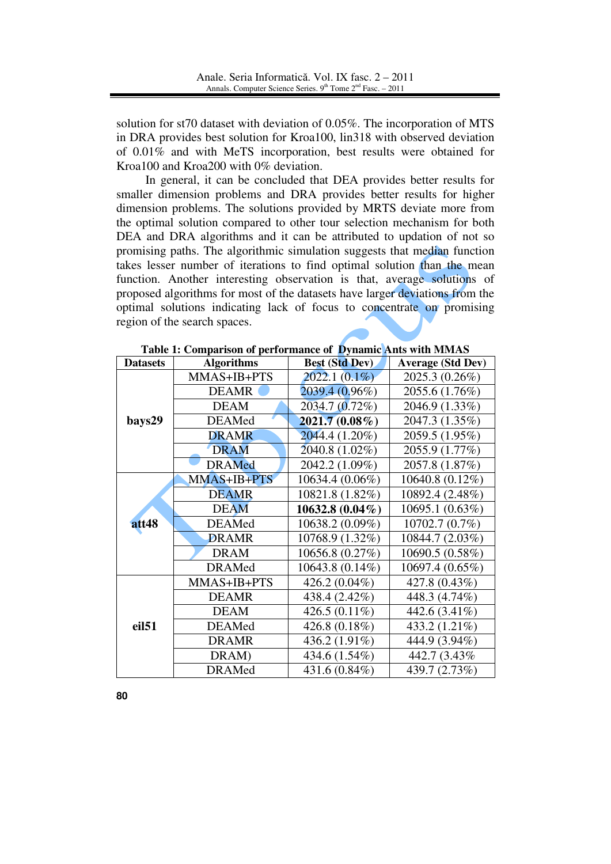solution for st70 dataset with deviation of 0.05%. The incorporation of MTS in DRA provides best solution for Kroa100, lin318 with observed deviation of 0.01% and with MeTS incorporation, best results were obtained for Kroa100 and Kroa200 with 0% deviation.

 In general, it can be concluded that DEA provides better results for smaller dimension problems and DRA provides better results for higher dimension problems. The solutions provided by MRTS deviate more from the optimal solution compared to other tour selection mechanism for both DEA and DRA algorithms and it can be attributed to updation of not so promising paths. The algorithmic simulation suggests that median function takes lesser number of iterations to find optimal solution than the mean function. Another interesting observation is that, average solutions of proposed algorithms for most of the datasets have larger deviations from the optimal solutions indicating lack of focus to concentrate on promising region of the search spaces.

| <b>Datasets</b>   | Tuble 1. Comparison of performance of <b>D</b> ynamic time with minimo<br><b>Algorithms</b> | <b>Best (Std Dev)</b> | <b>Average (Std Dev)</b> |  |
|-------------------|---------------------------------------------------------------------------------------------|-----------------------|--------------------------|--|
|                   | MMAS+IB+PTS                                                                                 | $2022.1(0.1\%)$       | 2025.3 (0.26%)           |  |
|                   | <b>DEAMR</b>                                                                                | 2039.4 (0.96%)        | 2055.6 (1.76%)           |  |
|                   | <b>DEAM</b>                                                                                 | 2034.7 (0.72%)        | 2046.9 (1.33%)           |  |
| bays29            | <b>DEAMed</b>                                                                               | $2021.7(0.08\%)$      | 2047.3 (1.35%)           |  |
|                   | <b>DRAMR</b>                                                                                | 2044.4 (1.20%)        | 2059.5 (1.95%)           |  |
|                   | <b>DRAM</b>                                                                                 | 2040.8 (1.02%)        | 2055.9 (1.77%)           |  |
|                   | <b>DRAMed</b>                                                                               | 2042.2 (1.09%)        | 2057.8 (1.87%)           |  |
|                   | MMAS+IB+PTS                                                                                 | 10634.4 (0.06%)       | 10640.8 (0.12%)          |  |
|                   | <b>DEAMR</b>                                                                                | 10821.8 (1.82%)       | 10892.4 (2.48%)          |  |
|                   | <b>DEAM</b>                                                                                 | $10632.8(0.04\%)$     | 10695.1 (0.63%)          |  |
| att48             | <b>DEAMed</b>                                                                               | 10638.2 (0.09%)       | 10702.7 (0.7%)           |  |
|                   | <b>DRAMR</b>                                                                                | 10768.9 (1.32%)       | 10844.7 (2.03%)          |  |
|                   | <b>DRAM</b>                                                                                 | 10656.8(0.27%)        | 10690.5 (0.58%)          |  |
|                   | <b>DRAMed</b>                                                                               | 10643.8 (0.14%)       | 10697.4 (0.65%)          |  |
|                   | MMAS+IB+PTS                                                                                 | 426.2 (0.04%)         | 427.8 (0.43%)            |  |
| eil <sub>51</sub> | <b>DEAMR</b>                                                                                | 438.4 (2.42%)         | 448.3 (4.74%)            |  |
|                   | <b>DEAM</b>                                                                                 | 426.5 $(0.11\%)$      | 442.6 (3.41%)            |  |
|                   | <b>DEAMed</b>                                                                               | 426.8 (0.18%)         | 433.2 (1.21%)            |  |
|                   | <b>DRAMR</b>                                                                                | 436.2 $(1.91\%)$      | 444.9 (3.94%)            |  |
|                   | DRAM)                                                                                       | 434.6 (1.54%)         | 442.7 (3.43%)            |  |
|                   | <b>DRAMed</b>                                                                               | 431.6 (0.84%)         | 439.7 (2.73%)            |  |

**Table 1: Comparison of performance of Dynamic Ants with MMAS**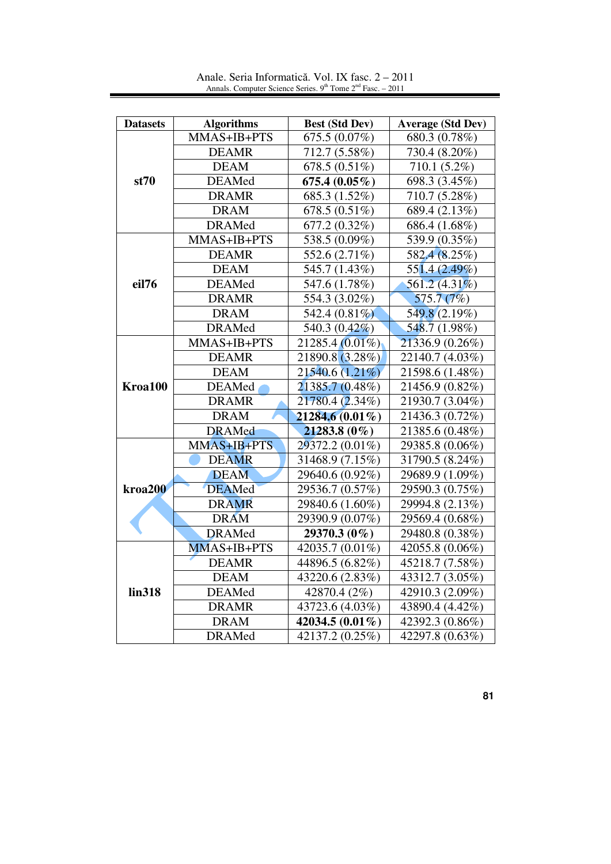| <b>Datasets</b> | <b>Algorithms</b> | <b>Best (Std Dev)</b> | <b>Average (Std Dev)</b> |
|-----------------|-------------------|-----------------------|--------------------------|
|                 | MMAS+IB+PTS       | 675.5 (0.07%)         | 680.3 (0.78%)            |
|                 | <b>DEAMR</b>      | 712.7 (5.58%)         | 730.4 (8.20%)            |
|                 | <b>DEAM</b>       | 678.5 (0.51%)         | 710.1 (5.2%)             |
| st70            | <b>DEAMed</b>     | 675.4 $(0.05\%)$      | 698.3 (3.45%)            |
|                 | <b>DRAMR</b>      | 685.3 (1.52%)         | 710.7 (5.28%)            |
|                 | <b>DRAM</b>       | 678.5 (0.51%)         | 689.4 (2.13%)            |
|                 | <b>DRAMed</b>     | 677.2 (0.32%)         | 686.4 (1.68%)            |
|                 | MMAS+IB+PTS       | 538.5 (0.09%)         | 539.9 (0.35%)            |
|                 | <b>DEAMR</b>      | 552.6 (2.71%)         | 582.4 (8.25%)            |
|                 | <b>DEAM</b>       | 545.7 (1.43%)         | 551.4 (2.49%)            |
| eil76           | <b>DEAMed</b>     | 547.6 (1.78%)         | $561.2(4.31\%)$          |
|                 | <b>DRAMR</b>      | 554.3 (3.02%)         | 575.7(7%)                |
|                 | <b>DRAM</b>       | 542.4 $(0.81\%)$      | 549.8 (2.19%)            |
|                 | <b>DRAMed</b>     | 540.3 $(0.42\%)$      | 548.7(1.98%)             |
|                 | MMAS+IB+PTS       | $21285.4(0.01\%)$     | 21336.9 (0.26%)          |
|                 | <b>DEAMR</b>      | 21890.8 (3.28%)       | 22140.7 (4.03%)          |
|                 | <b>DEAM</b>       | 21540.6 (1.21%)       | 21598.6 (1.48%)          |
| Kroa100         | DEAMed            | 21385.7 (0.48%)       | 21456.9 (0.82%)          |
|                 | <b>DRAMR</b>      | 21780.4 (2.34%)       | 21930.7 (3.04%)          |
|                 | <b>DRAM</b>       | 21284.6 (0.01%)       | 21436.3 (0.72%)          |
|                 | <b>DRAMed</b>     | $21283.8(0\%)$        | 21385.6 (0.48%)          |
|                 | MMAS+IB+PTS       | 29372.2 (0.01%)       | 29385.8 (0.06%)          |
|                 | <b>DEAMR</b>      | 31468.9 (7.15%)       | 31790.5 (8.24%)          |
|                 | <b>DEAM</b>       | 29640.6 (0.92%)       | 29689.9 (1.09%)          |
| kroa200         | <b>DEAMed</b>     | 29536.7 (0.57%)       | 29590.3 (0.75%)          |
|                 | <b>DRAMR</b>      | 29840.6 (1.60%)       | 29994.8 (2.13%)          |
|                 | <b>DRAM</b>       | 29390.9 (0.07%)       | 29569.4 (0.68%)          |
|                 | <b>DRAMed</b>     | 29370.3 (0%)          | 29480.8 (0.38%)          |
|                 | MMAS+IB+PTS       | 42035.7 (0.01%)       | 42055.8 (0.06%)          |
|                 | <b>DEAMR</b>      | 44896.5 (6.82%)       | 45218.7 (7.58%)          |
|                 | <b>DEAM</b>       | 43220.6 (2.83%)       | 43312.7 (3.05%)          |
| lin318          | <b>DEAMed</b>     | 42870.4 (2%)          | 42910.3 (2.09%)          |
|                 | <b>DRAMR</b>      | 43723.6 (4.03%)       | 43890.4 (4.42%)          |
|                 | <b>DRAM</b>       | 42034.5 (0.01%)       | 42392.3 (0.86%)          |
|                 | <b>DRAMed</b>     | 42137.2 (0.25%)       | 42297.8 (0.63%)          |

Anale. Seria Informatică. Vol. IX fasc. 2 – 2011 Annals. Computer Science Series. 9<sup>th</sup> Tome 2<sup>nd</sup> Fasc. – 2011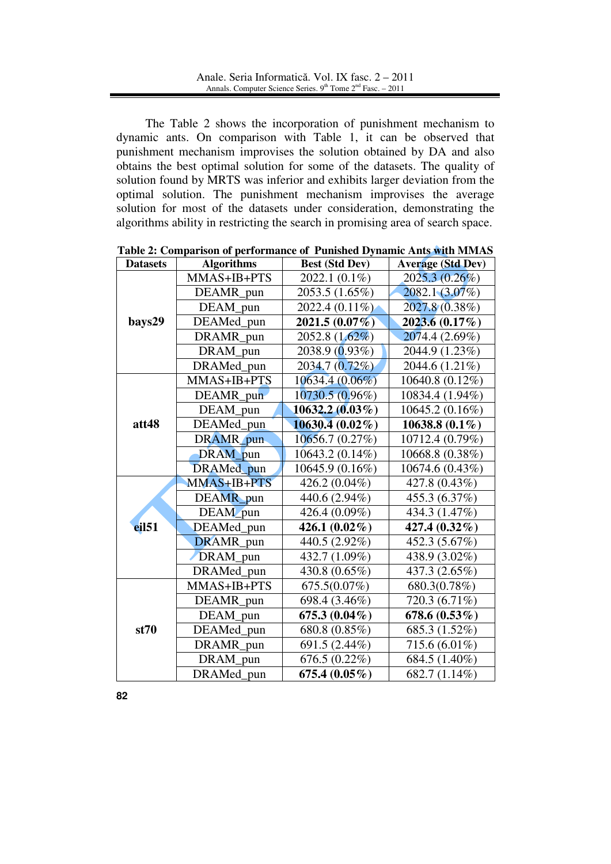The Table 2 shows the incorporation of punishment mechanism to dynamic ants. On comparison with Table 1, it can be observed that punishment mechanism improvises the solution obtained by DA and also obtains the best optimal solution for some of the datasets. The quality of solution found by MRTS was inferior and exhibits larger deviation from the optimal solution. The punishment mechanism improvises the average solution for most of the datasets under consideration, demonstrating the algorithms ability in restricting the search in promising area of search space.

| <b>Datasets</b>   | <b>Algorithms</b> | <b>Best (Std Dev)</b> | <b>Average (Std Dev)</b> |  |
|-------------------|-------------------|-----------------------|--------------------------|--|
|                   | MMAS+IB+PTS       | 2022.1 (0.1%)         | 2025.3 (0.26%)           |  |
|                   | DEAMR pun         | 2053.5 (1.65%)        | $2082.1(3.07\%)$         |  |
|                   | DEAM pun          | 2022.4 (0.11%)        | $2027.8(0.38\%)$         |  |
| bays29            | DEAMed_pun        | $2021.5(0.07\%)$      | $2023.6(0.17\%)$         |  |
|                   | DRAMR pun         | 2052.8 (1.62%)        | 2074.4 (2.69%)           |  |
|                   | DRAM_pun          | $2038.9(0.93\%)$      | 2044.9 (1.23%)           |  |
|                   | DRAMed pun        | 2034.7 (0.72%)        | 2044.6 (1.21%)           |  |
|                   | MMAS+IB+PTS       | 10634.4 (0.06%)       | 10640.8 (0.12%)          |  |
|                   | DEAMR_pun         | 10730.5 (0.96%)       | 10834.4 (1.94%)          |  |
|                   | DEAM pun          | $10632.2(0.03\%)$     | 10645.2 (0.16%)          |  |
| att48             | DEAMed_pun        | $10630.4(0.02\%)$     | 10638.8 $(0.1\%)$        |  |
|                   | DRAMR pun         | 10656.7(0.27%)        | 10712.4 (0.79%)          |  |
|                   | DRAM pun          | 10643.2 (0.14%)       | 10668.8 (0.38%)          |  |
|                   | DRAMed pun        | 10645.9 (0.16%)       | 10674.6 (0.43%)          |  |
|                   | MMAS+IB+PTS       | 426.2 (0.04%)         | 427.8 (0.43%)            |  |
|                   | DEAMR_pun         | 440.6 (2.94%)         | 455.3 (6.37%)            |  |
|                   | DEAM_pun          | 426.4 $(0.09\%)$      | 434.3 (1.47%)            |  |
| eil <sub>51</sub> | DEAMed pun        | 426.1 $(0.02\%)$      | 427.4 (0.32%)            |  |
|                   | DRAMR pun         | 440.5 (2.92%)         | 452.3 (5.67%)            |  |
|                   | DRAM pun          | 432.7 (1.09%)         | 438.9 (3.02%)            |  |
|                   | DRAMed pun        | 430.8 (0.65%)         | 437.3 (2.65%)            |  |
|                   | MMAS+IB+PTS       | $675.5(0.07\%)$       | 680.3(0.78%)             |  |
|                   | DEAMR_pun         | 698.4 (3.46%)         | 720.3 (6.71%)            |  |
|                   | DEAM_pun          | 675.3 $(0.04\%)$      | 678.6(0.53%)             |  |
| st70              | DEAMed_pun        | 680.8 (0.85%)         | 685.3 (1.52%)            |  |
|                   | DRAMR pun         | 691.5 (2.44%)         | 715.6 (6.01%)            |  |
|                   | DRAM pun          | $676.5(0.22\%)$       | 684.5 (1.40%)            |  |
|                   | DRAMed pun        | 675.4 $(0.05\%)$      | 682.7 (1.14%)            |  |

| Table 2: Comparison of performance of Punished Dynamic Ants with MMAS |  |  |
|-----------------------------------------------------------------------|--|--|
|                                                                       |  |  |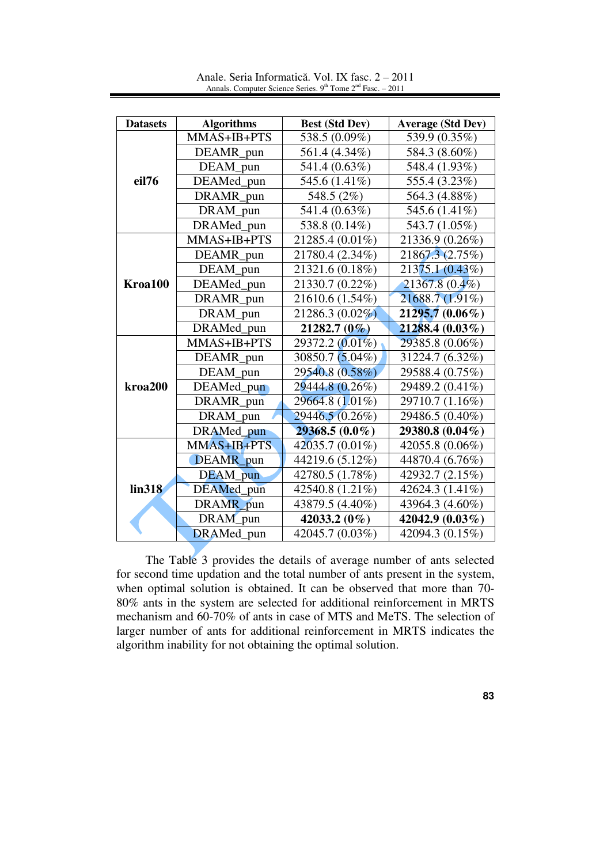| <b>Datasets</b>     | <b>Algorithms</b> | <b>Best (Std Dev)</b> | <b>Average (Std Dev)</b> |  |
|---------------------|-------------------|-----------------------|--------------------------|--|
|                     | MMAS+IB+PTS       | 538.5 (0.09%)         | 539.9 (0.35%)            |  |
| eil76               | DEAMR_pun         | 561.4 (4.34%)         | 584.3 (8.60%)            |  |
|                     | DEAM pun          | 541.4 (0.63%)         | 548.4 (1.93%)            |  |
|                     | DEAMed_pun        | 545.6 (1.41%)         | 555.4 (3.23%)            |  |
|                     | DRAMR_pun         | 548.5 (2%)            | 564.3 (4.88%)            |  |
|                     | DRAM pun          | 541.4 (0.63%)         | 545.6 (1.41%)            |  |
|                     | DRAMed_pun        | 538.8 (0.14%)         | 543.7 (1.05%)            |  |
|                     | MMAS+IB+PTS       | 21285.4 (0.01%)       | 21336.9 (0.26%)          |  |
|                     | DEAMR pun         | 21780.4 (2.34%)       | 21867.3 (2.75%)          |  |
|                     | DEAM pun          | 21321.6 (0.18%)       | 21375.1 (0.43%)          |  |
| Kroa100             | DEAMed pun        | 21330.7 (0.22%)       | $21367.8(0.4\%)$         |  |
|                     | DRAMR_pun         | 21610.6 (1.54%)       | 21688.7 (1.91%)          |  |
|                     | DRAM pun          | 21286.3 (0.02%)       | $21295.7(0.06\%)$        |  |
|                     | DRAMed pun        | $21282.7(0\%)$        | $21288.4(0.03\%)$        |  |
|                     | MMAS+IB+PTS       | 29372.2 (0.01%)       | 29385.8 (0.06%)          |  |
|                     | DEAMR pun         | 30850.7 (5.04%)       | 31224.7 (6.32%)          |  |
|                     | DEAM pun          | 29540.8 (0.58%)       | 29588.4 (0.75%)          |  |
| kroa <sub>200</sub> | DEAMed_pun        | 29444.8 (0.26%)       | 29489.2 (0.41%)          |  |
|                     | DRAMR pun         | 29664.8 (1.01%)       | 29710.7 (1.16%)          |  |
|                     | DRAM pun          | 29446.5 (0.26%)       | 29486.5 (0.40%)          |  |
|                     | DRAMed pun        | $29368.5(0.0\%)$      | 29380.8 (0.04%)          |  |
|                     | MMAS+IB+PTS       | 42035.7 (0.01%)       | 42055.8 (0.06%)          |  |
|                     | DEAMR pun         | 44219.6 (5.12%)       | 44870.4 (6.76%)          |  |
|                     | DEAM_pun          | 42780.5 (1.78%)       | 42932.7 (2.15%)          |  |
| lin318              | DEAMed pun        | 42540.8 (1.21%)       | 42624.3 (1.41%)          |  |
|                     | DRAMR pun         | 43879.5 (4.40%)       | 43964.3 (4.60%)          |  |
|                     | DRAM pun          | 42033.2 (0%)          | 42042.9 (0.03%)          |  |
|                     | DRAMed_pun        | 42045.7 (0.03%)       | 42094.3 (0.15%)          |  |

Anale. Seria Informatică. Vol. IX fasc. 2 – 2011 Annals. Computer Science Series.  $9<sup>th</sup>$  Tome  $2<sup>nd</sup>$  Fasc. – 2011

 The Table 3 provides the details of average number of ants selected for second time updation and the total number of ants present in the system, when optimal solution is obtained. It can be observed that more than 70- 80% ants in the system are selected for additional reinforcement in MRTS mechanism and 60-70% of ants in case of MTS and MeTS. The selection of larger number of ants for additional reinforcement in MRTS indicates the algorithm inability for not obtaining the optimal solution.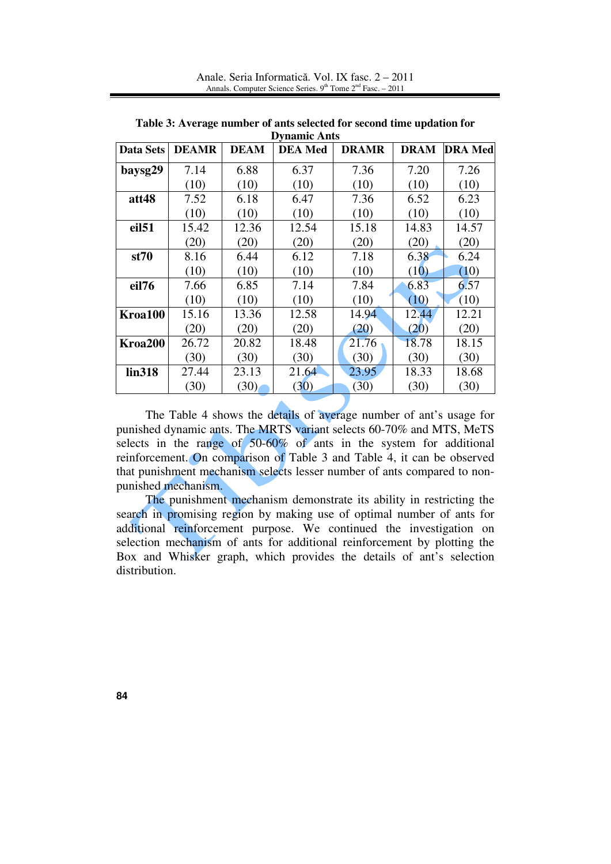| <b>Data Sets</b>    | <b>DEAMR</b> | <b>DEAM</b> | <b>DEA</b> Med | <b>DRAMR</b> | <b>DRAM</b> | <b>DRA</b> Med |
|---------------------|--------------|-------------|----------------|--------------|-------------|----------------|
| baysg29             | 7.14         | 6.88        | 6.37           | 7.36         | 7.20        | 7.26           |
|                     | (10)         | (10)        | (10)           | (10)         | (10)        | (10)           |
| att48               | 7.52         | 6.18        | 6.47           | 7.36         | 6.52        | 6.23           |
|                     | (10)         | (10)        | (10)           | (10)         | (10)        | (10)           |
| eil <sub>51</sub>   | 15.42        | 12.36       | 12.54          | 15.18        | 14.83       | 14.57          |
|                     | (20)         | (20)        | (20)           | (20)         | (20)        | (20)           |
| st70                | 8.16         | 6.44        | 6.12           | 7.18         | 6.38        | 6.24           |
|                     | (10)         | (10)        | (10)           | (10)         | (10)        | (10)           |
| eil76               | 7.66         | 6.85        | 7.14           | 7.84         | 6.83        | 6.57           |
|                     | (10)         | (10)        | (10)           | (10)         | (10)        | (10)           |
| Kroa100             | 15.16        | 13.36       | 12.58          | 14.94        | 12.44       | 12.21          |
|                     | (20)         | (20)        | (20)           | (20)         | (20)        | (20)           |
| Kroa <sub>200</sub> | 26.72        | 20.82       | 18.48          | 21.76        | 18.78       | 18.15          |
|                     | (30)         | (30)        | (30)           | (30)         | (30)        | (30)           |
| lin318              | 27.44        | 23.13       | 21.64          | 23.95        | 18.33       | 18.68          |
|                     | (30)         | (30)        | (30)           | (30)         | (30)        | (30)           |

**Table 3: Average number of ants selected for second time updation for Dynamic Ants** 

 The Table 4 shows the details of average number of ant's usage for punished dynamic ants. The MRTS variant selects 60-70% and MTS, MeTS selects in the range of  $50-60\%$  of ants in the system for additional reinforcement. On comparison of Table 3 and Table 4, it can be observed that punishment mechanism selects lesser number of ants compared to nonpunished mechanism.

 The punishment mechanism demonstrate its ability in restricting the search in promising region by making use of optimal number of ants for additional reinforcement purpose. We continued the investigation on selection mechanism of ants for additional reinforcement by plotting the Box and Whisker graph, which provides the details of ant's selection distribution.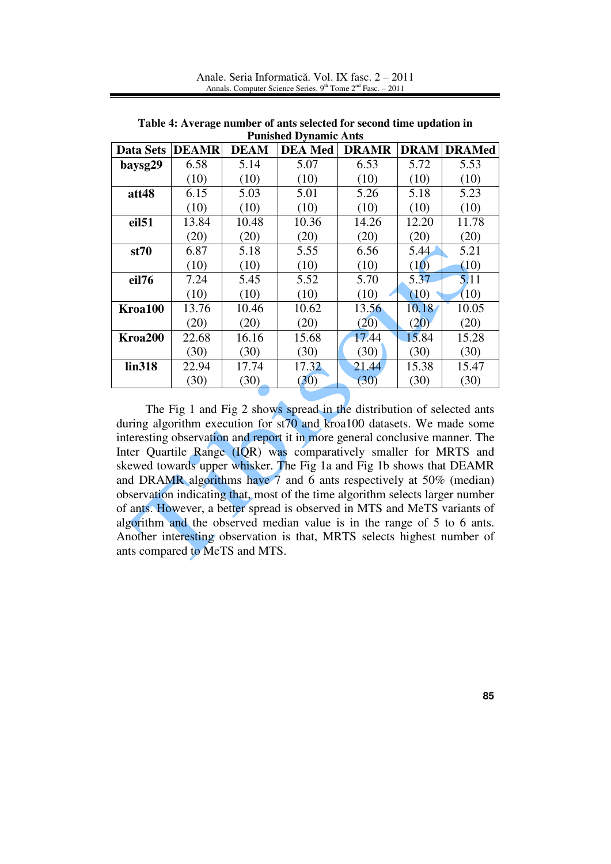| <b>Punished Dynamic Ants</b> |              |             |                |              |       |                    |  |  |
|------------------------------|--------------|-------------|----------------|--------------|-------|--------------------|--|--|
| Data Sets                    | <b>DEAMR</b> | <b>DEAM</b> | <b>DEA</b> Med | <b>DRAMR</b> |       | <b>DRAM DRAMed</b> |  |  |
| baysg29                      | 6.58         | 5.14        | 5.07           | 6.53         | 5.72  | 5.53               |  |  |
|                              | (10)         | (10)        | (10)           | (10)         | (10)  | (10)               |  |  |
| att48                        | 6.15         | 5.03        | 5.01           | 5.26         | 5.18  | 5.23               |  |  |
|                              | (10)         | (10)        | (10)           | (10)         | (10)  | (10)               |  |  |
| eil <sub>51</sub>            | 13.84        | 10.48       | 10.36          | 14.26        | 12.20 | 11.78              |  |  |
|                              | (20)         | (20)        | (20)           | (20)         | (20)  | (20)               |  |  |
| st70                         | 6.87         | 5.18        | 5.55           | 6.56         | 5.44  | 5.21               |  |  |
|                              | (10)         | (10)        | (10)           | (10)         | (10)  | (10)               |  |  |
| eil76                        | 7.24         | 5.45        | 5.52           | 5.70         | 5.37  | 5.11               |  |  |
|                              | (10)         | (10)        | (10)           | (10)         | (10)  | (10)               |  |  |
| Kroa100                      | 13.76        | 10.46       | 10.62          | 13.56        | 10.18 | 10.05              |  |  |
|                              | (20)         | (20)        | (20)           | (20)         | (20)  | (20)               |  |  |
| Kroa <sub>200</sub>          | 22.68        | 16.16       | 15.68          | 17.44        | 15.84 | 15.28              |  |  |
|                              | (30)         | (30)        | (30)           | (30)         | (30)  | (30)               |  |  |
| lin318                       | 22.94        | 17.74       | 17.32          | 21.44        | 15.38 | 15.47              |  |  |
|                              | (30)         | (30)        | (30)           | (30)         | (30)  | (30)               |  |  |

Anale. Seria Informatică. Vol. IX fasc. 2 – 2011 Annals. Computer Science Series.  $9<sup>th</sup>$  Tome  $2<sup>nd</sup>$  Fasc. – 2011

**Table 4: Average number of ants selected for second time updation in**

 The Fig 1 and Fig 2 shows spread in the distribution of selected ants during algorithm execution for st70 and kroa100 datasets. We made some interesting observation and report it in more general conclusive manner. The Inter Quartile Range (IQR) was comparatively smaller for MRTS and skewed towards upper whisker. The Fig 1a and Fig 1b shows that DEAMR and DRAMR algorithms have 7 and 6 ants respectively at 50% (median) observation indicating that, most of the time algorithm selects larger number of ants. However, a better spread is observed in MTS and MeTS variants of algorithm and the observed median value is in the range of 5 to 6 ants. Another interesting observation is that, MRTS selects highest number of ants compared to MeTS and MTS.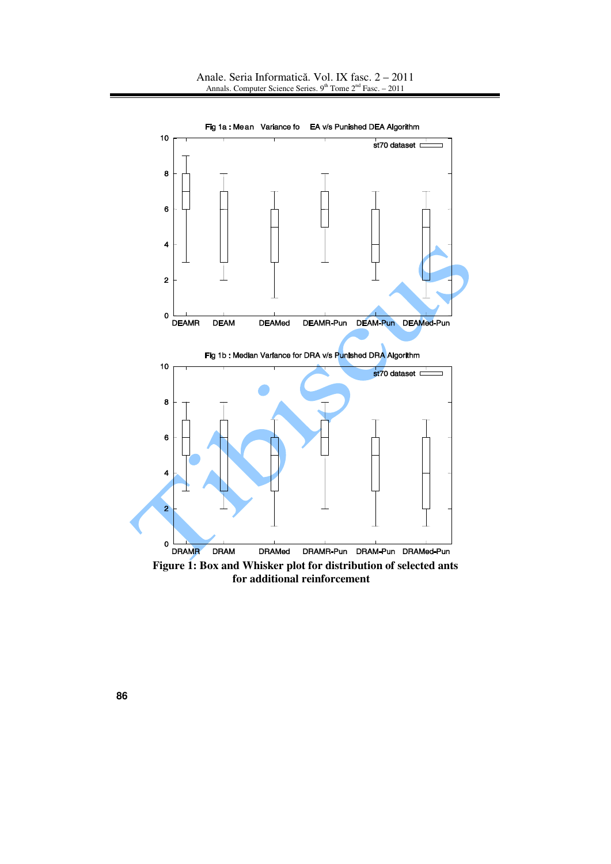

Fig 1a : Mean Variance fo EA v/s Punished DEA Algorithm

**Figure 1: Box and Whisker plot for distribution of selected ants for additional reinforcement**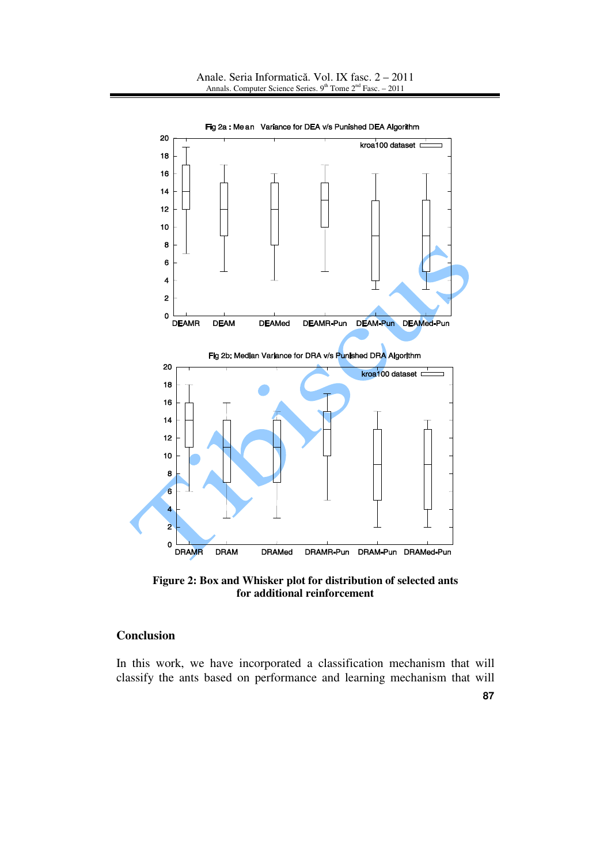

Fig 2a : Me an Variance for DEA v/s Punished DEA Algorithm

**Figure 2: Box and Whisker plot for distribution of selected ants for additional reinforcement** 

# **Conclusion**

In this work, we have incorporated a classification mechanism that will classify the ants based on performance and learning mechanism that will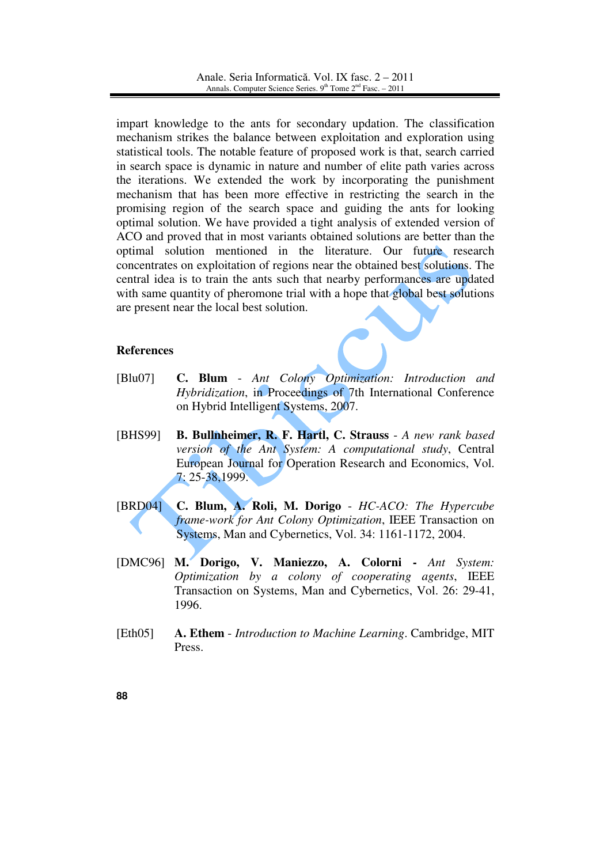impart knowledge to the ants for secondary updation. The classification mechanism strikes the balance between exploitation and exploration using statistical tools. The notable feature of proposed work is that, search carried in search space is dynamic in nature and number of elite path varies across the iterations. We extended the work by incorporating the punishment mechanism that has been more effective in restricting the search in the promising region of the search space and guiding the ants for looking optimal solution. We have provided a tight analysis of extended version of ACO and proved that in most variants obtained solutions are better than the optimal solution mentioned in the literature. Our future research concentrates on exploitation of regions near the obtained best solutions. The central idea is to train the ants such that nearby performances are updated with same quantity of pheromone trial with a hope that global best solutions are present near the local best solution.

# **References**

- [Blu07] **C. Blum** *Ant Colony Optimization: Introduction and Hybridization*, in Proceedings of 7th International Conference on Hybrid Intelligent Systems, 2007.
- [BHS99] **B. Bullnheimer, R. F. Hartl, C. Strauss** *A new rank based version of the Ant System: A computational study*, Central European Journal for Operation Research and Economics, Vol. 7: 25-38,1999.
- [BRD04] **C. Blum, A. Roli, M. Dorigo** *HC-ACO: The Hypercube frame-work for Ant Colony Optimization*, IEEE Transaction on Systems, Man and Cybernetics, Vol. 34: 1161-1172, 2004.
- [DMC96] **M. Dorigo, V. Maniezzo, A. Colorni -** *Ant System: Optimization by a colony of cooperating agents*, IEEE Transaction on Systems, Man and Cybernetics, Vol. 26: 29-41, 1996.
- [Eth05] **A. Ethem** *Introduction to Machine Learning*. Cambridge, MIT Press.
- **88**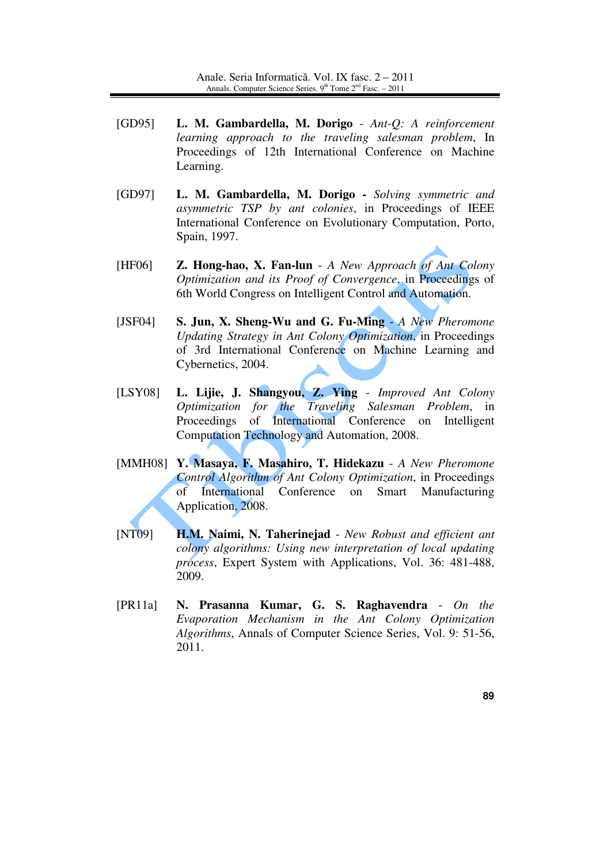- [GD95] **L. M. Gambardella, M. Dorigo** *Ant-Q: A reinforcement learning approach to the traveling salesman problem*, In Proceedings of 12th International Conference on Machine Learning.
- [GD97] **L. M. Gambardella, M. Dorigo** *Solving symmetric and asymmetric TSP by ant colonies*, in Proceedings of IEEE International Conference on Evolutionary Computation, Porto, Spain, 1997.
- [HF06] **Z. Hong-hao, X. Fan-lun** *A New Approach of Ant Colony Optimization and its Proof of Convergence*, in Proceedings of 6th World Congress on Intelligent Control and Automation.
- [JSF04] **S. Jun, X. Sheng-Wu and G. Fu-Ming** *A New Pheromone Updating Strategy in Ant Colony Optimization*, in Proceedings of 3rd International Conference on Machine Learning and Cybernetics, 2004.
- [LSY08] **L. Lijie, J. Shangyou, Z. Ying** *Improved Ant Colony Optimization for the Traveling Salesman Problem*, in Proceedings of International Conference on Intelligent Computation Technology and Automation, 2008.
- [MMH08] **Y. Masaya, F. Masahiro, T. Hidekazu** *A New Pheromone Control Algorithm of Ant Colony Optimization*, in Proceedings of International Conference on Smart Manufacturing Application, 2008.
- [NT09] **H.M. Naimi, N. Taherinejad** *New Robust and efficient ant colony algorithms: Using new interpretation of local updating process*, Expert System with Applications, Vol. 36: 481-488, 2009.
- [PR11a] **N. Prasanna Kumar, G. S. Raghavendra** *On the Evaporation Mechanism in the Ant Colony Optimization Algorithms*, Annals of Computer Science Series, Vol. 9: 51-56, 2011.